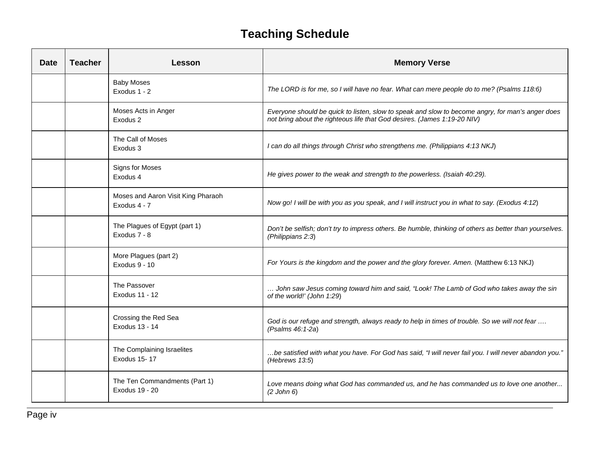## **Teaching Schedule**

| <b>Date</b> | <b>Teacher</b> | Lesson                                             | <b>Memory Verse</b>                                                                                                                                                          |
|-------------|----------------|----------------------------------------------------|------------------------------------------------------------------------------------------------------------------------------------------------------------------------------|
|             |                | <b>Baby Moses</b><br>Exodus 1 - 2                  | The LORD is for me, so I will have no fear. What can mere people do to me? (Psalms 118:6)                                                                                    |
|             |                | Moses Acts in Anger<br>Exodus 2                    | Everyone should be quick to listen, slow to speak and slow to become angry, for man's anger does<br>not bring about the righteous life that God desires. (James 1:19-20 NIV) |
|             |                | The Call of Moses<br>Exodus 3                      | I can do all things through Christ who strengthens me. (Philippians 4:13 NKJ)                                                                                                |
|             |                | <b>Signs for Moses</b><br>Exodus 4                 | He gives power to the weak and strength to the powerless. (Isaiah 40:29).                                                                                                    |
|             |                | Moses and Aaron Visit King Pharaoh<br>Exodus 4 - 7 | Now go! I will be with you as you speak, and I will instruct you in what to say. (Exodus 4:12)                                                                               |
|             |                | The Plagues of Egypt (part 1)<br>Exodus 7 - 8      | Don't be selfish; don't try to impress others. Be humble, thinking of others as better than yourselves.<br>(Philippians 2:3)                                                 |
|             |                | More Plagues (part 2)<br>Exodus 9 - 10             | For Yours is the kingdom and the power and the glory forever. Amen. (Matthew 6:13 NKJ)                                                                                       |
|             |                | The Passover<br>Exodus 11 - 12                     | John saw Jesus coming toward him and said, "Look! The Lamb of God who takes away the sin<br>of the world!' (John 1:29)                                                       |
|             |                | Crossing the Red Sea<br>Exodus 13 - 14             | God is our refuge and strength, always ready to help in times of trouble. So we will not fear<br>(Psalms 46:1-2a)                                                            |
|             |                | The Complaining Israelites<br>Exodus 15-17         | "be satisfied with what you have. For God has said, "I will never fail you. I will never abandon you."<br>(Hebrews 13:5)                                                     |
|             |                | The Ten Commandments (Part 1)<br>Exodus 19 - 20    | Love means doing what God has commanded us, and he has commanded us to love one another<br>$(2$ John $6)$                                                                    |